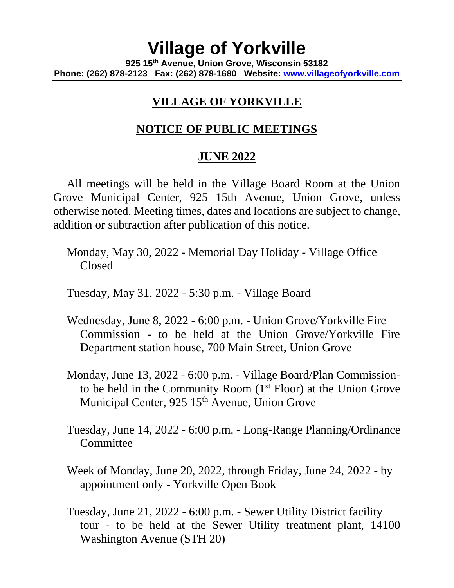## **Village of Yorkville 925 15th Avenue, Union Grove, Wisconsin 53182 Phone: (262) 878-2123 Fax: (262) 878-1680 Website: [www.villageofyorkville.com](http://www.villageofyorkville.com/)**

## **VILLAGE OF YORKVILLE**

## **NOTICE OF PUBLIC MEETINGS**

## **JUNE 2022**

All meetings will be held in the Village Board Room at the Union Grove Municipal Center, 925 15th Avenue, Union Grove, unless otherwise noted. Meeting times, dates and locations are subject to change, addition or subtraction after publication of this notice.

Monday, May 30, 2022 - Memorial Day Holiday - Village Office Closed

Tuesday, May 31, 2022 - 5:30 p.m. - Village Board

- Wednesday, June 8, 2022 6:00 p.m. Union Grove/Yorkville Fire Commission - to be held at the Union Grove/Yorkville Fire Department station house, 700 Main Street, Union Grove
- Monday, June 13, 2022 6:00 p.m. Village Board/Plan Commissionto be held in the Community Room  $(1<sup>st</sup> Floor)$  at the Union Grove Municipal Center, 925 15<sup>th</sup> Avenue, Union Grove
- Tuesday, June 14, 2022 6:00 p.m. Long-Range Planning/Ordinance **Committee**
- Week of Monday, June 20, 2022, through Friday, June 24, 2022 by appointment only - Yorkville Open Book
- Tuesday, June 21, 2022 6:00 p.m. Sewer Utility District facility tour - to be held at the Sewer Utility treatment plant, 14100 Washington Avenue (STH 20)